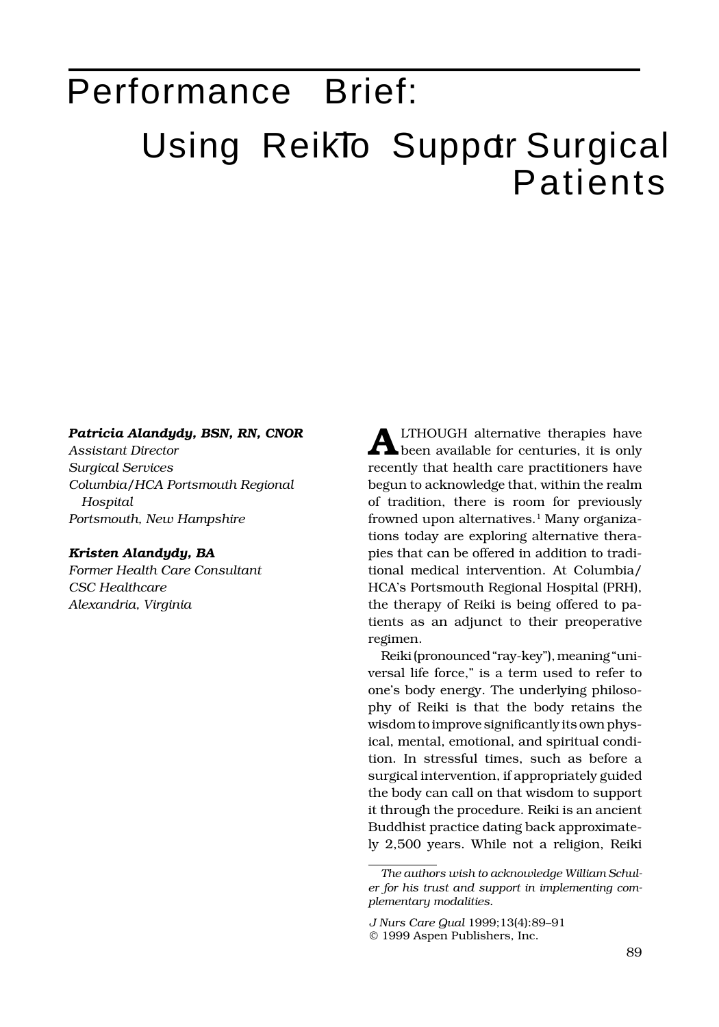## Performance Brief: Using ReikTo Suppdr Surgical Patients

## *Patricia Alandydy, BSN, RN, CNOR*

*Assistant Director Surgical Services Columbia/HCA Portsmouth Regional Hospital Portsmouth, New Hampshire*

## *Kristen Alandydy, BA*

*Former Health Care Consultant CSC Healthcare Alexandria, Virginia*

**A** recently that health care practitioners have begun to acknowledge that, within the realm of tradition, there is room for previously frowned upon alternatives.<sup>1</sup> Many organizations today are exploring alternative therapies that can be offered in addition to traditional medical intervention. At Columbia/ HCA's Portsmouth Regional Hospital (PRH), the therapy of Reiki is being offered to patients as an adjunct to their preoperative regimen. LTHOUGH alternative therapies have been available for centuries, it is only

Reiki (pronounced "ray-key"), meaning "universal life force," is a term used to refer to one's body energy. The underlying philosophy of Reiki is that the body retains the wisdom to improve significantly its own physical, mental, emotional, and spiritual condition. In stressful times, such as before a surgical intervention, if appropriately guided the body can call on that wisdom to support it through the procedure. Reiki is an ancient Buddhist practice dating back approximately 2,500 years. While not a religion, Reiki

*The authors wish to acknowledge William Schuler for his trust and support in implementing complementary modalities.*

*J Nurs Care Qual* 1999;13(4):89–91 © 1999 Aspen Publishers, Inc.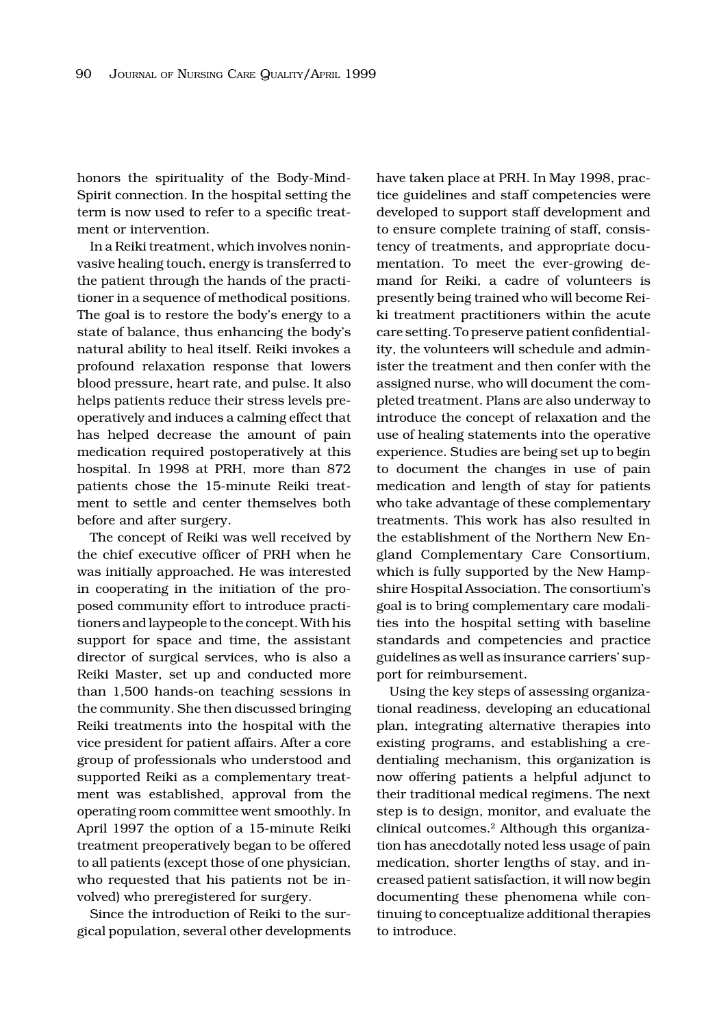honors the spirituality of the Body-Mind-Spirit connection. In the hospital setting the term is now used to refer to a specific treatment or intervention.

In a Reiki treatment, which involves noninvasive healing touch, energy is transferred to the patient through the hands of the practitioner in a sequence of methodical positions. The goal is to restore the body's energy to a state of balance, thus enhancing the body's natural ability to heal itself. Reiki invokes a profound relaxation response that lowers blood pressure, heart rate, and pulse. It also helps patients reduce their stress levels preoperatively and induces a calming effect that has helped decrease the amount of pain medication required postoperatively at this hospital. In 1998 at PRH, more than 872 patients chose the 15-minute Reiki treatment to settle and center themselves both before and after surgery.

The concept of Reiki was well received by the chief executive officer of PRH when he was initially approached. He was interested in cooperating in the initiation of the proposed community effort to introduce practitioners and laypeople to the concept. With his support for space and time, the assistant director of surgical services, who is also a Reiki Master, set up and conducted more than 1,500 hands-on teaching sessions in the community. She then discussed bringing Reiki treatments into the hospital with the vice president for patient affairs. After a core group of professionals who understood and supported Reiki as a complementary treatment was established, approval from the operating room committee went smoothly. In April 1997 the option of a 15-minute Reiki treatment preoperatively began to be offered to all patients (except those of one physician, who requested that his patients not be involved) who preregistered for surgery.

Since the introduction of Reiki to the surgical population, several other developments have taken place at PRH. In May 1998, practice guidelines and staff competencies were developed to support staff development and to ensure complete training of staff, consistency of treatments, and appropriate documentation. To meet the ever-growing demand for Reiki, a cadre of volunteers is presently being trained who will become Reiki treatment practitioners within the acute care setting. To preserve patient confidentiality, the volunteers will schedule and administer the treatment and then confer with the assigned nurse, who will document the completed treatment. Plans are also underway to introduce the concept of relaxation and the use of healing statements into the operative experience. Studies are being set up to begin to document the changes in use of pain medication and length of stay for patients who take advantage of these complementary treatments. This work has also resulted in the establishment of the Northern New England Complementary Care Consortium, which is fully supported by the New Hampshire Hospital Association. The consortium's goal is to bring complementary care modalities into the hospital setting with baseline standards and competencies and practice guidelines as well as insurance carriers' support for reimbursement.

Using the key steps of assessing organizational readiness, developing an educational plan, integrating alternative therapies into existing programs, and establishing a credentialing mechanism, this organization is now offering patients a helpful adjunct to their traditional medical regimens. The next step is to design, monitor, and evaluate the clinical outcomes.2 Although this organization has anecdotally noted less usage of pain medication, shorter lengths of stay, and increased patient satisfaction, it will now begin documenting these phenomena while continuing to conceptualize additional therapies to introduce.